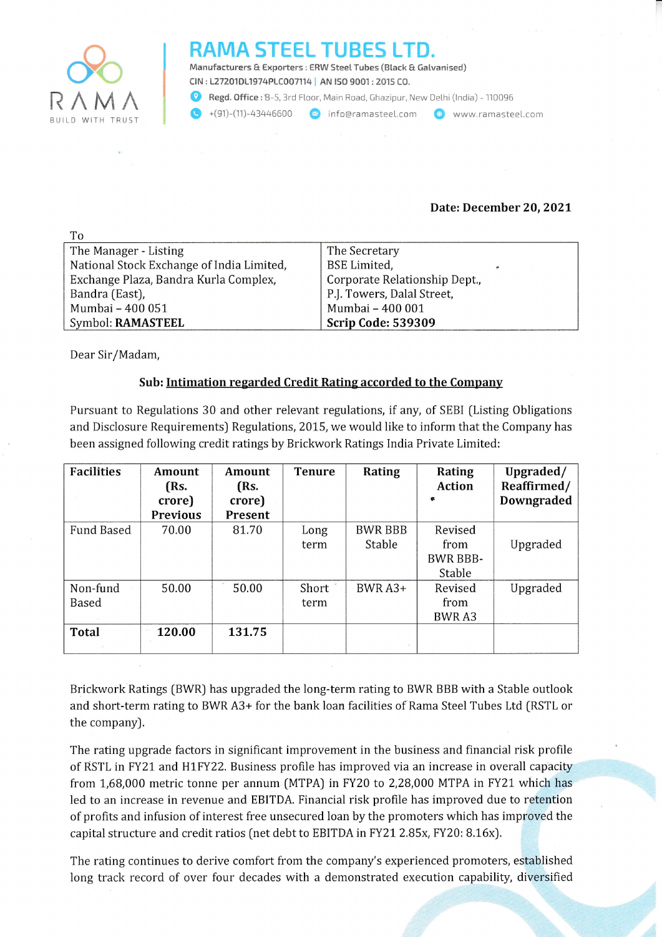

 $T_{\rm{L}}$ 

## RAMA STEEL TUBES L

Manufacturers & Exporters : ERW Steel Tubes (Black & Galvanised) clN:127201D11974PLC007114 | AN tso 9001:2015 CO.

Regd. Office: B-5, 3rd Floor, Main Road, Ghazipur, New Delhi (India) - 110096

 $+(91)-(11)-43446600$  **a** info@ramasteel.com  $\bullet$  www.ramasteel.com

## Date: December 20,202t

| - 111                                     |                                     |
|-------------------------------------------|-------------------------------------|
| The Manager - Listing                     | The Secretary                       |
| National Stock Exchange of India Limited, | <b>BSE</b> Limited,<br>$\mathbf{v}$ |
| Exchange Plaza, Bandra Kurla Complex,     | Corporate Relationship Dept.,       |
| Bandra (East),                            | P.J. Towers, Dalal Street,          |
| Mumbai - 400 051                          | Mumbai - 400 001                    |
| Symbol: RAMASTEEL                         | <b>Scrip Code: 539309</b>           |

Dear Sir/Madam,

## Sub: Intimation regarded Credit Rating accorded to the Company

Pursuant to Regulations 30 and other relevant regulations, if any, of SEBI (Listing Obligations and Disclosure Requirements) Regulations, 2015, we would like to inform that the Company has been assigned following credit ratings by Brickwork Ratings India Private Limited:

| <b>Facilities</b>        | Amount<br>(Rs.<br>crore)<br><b>Previous</b> | Amount<br>(Rs.<br>crore)<br>Present | <b>Tenure</b> | Rating                   | Rating<br><b>Action</b><br>$\bullet$         | Upgraded/<br>Reaffirmed/<br><b>Downgraded</b> |
|--------------------------|---------------------------------------------|-------------------------------------|---------------|--------------------------|----------------------------------------------|-----------------------------------------------|
| <b>Fund Based</b>        | 70.00                                       | 81.70                               | Long<br>term  | <b>BWR BBB</b><br>Stable | Revised<br>from<br><b>BWR BBB-</b><br>Stable | Upgraded                                      |
| Non-fund<br><b>Based</b> | 50.00                                       | 50.00                               | Short<br>term | BWR A3+                  | Revised<br>from<br>BWR A3                    | Upgraded                                      |
| <b>Total</b>             | 120.00                                      | 131.75                              |               |                          |                                              |                                               |

Brickwork Ratings [BWR) has upgraded the Iong-term rating to BWR BBB with a Stable outlook and short-term rating to BWR A3+ for the bank loan facilities of Rama Steel Tubes Ltd (RSTL or the company).

The rating upgrade factors in significant improvement in the business and financial risk profile of RSTL in FY21 and H1FY22. Business profile has improved via an increase in overall capacity from 1,68,000 metric tonne per annum (MTPA) in FY20 to 2,28,000 MTPA in FY21 which has led to an increase in revenue and EBITDA. Financial risk profile has improved due to retention of profits and infusion of interest free unsecured loan by the promoters which has improved the capital structure and credit ratios [net debt to EBITDA in FYZ1 2.85x, FY20: B.16xJ.

The rating continues to derive comfort from the company's experienced promoters, established long track record of over four decades with a demonstrated execution capability, diversified